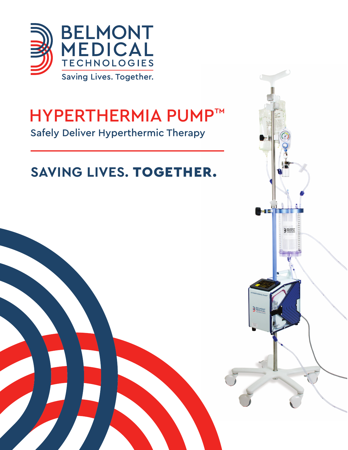

# HYPERTHERMIA PUMP™ Safely Deliver Hyperthermic Therapy

# **SAVING LIVES.** TOGETHER.

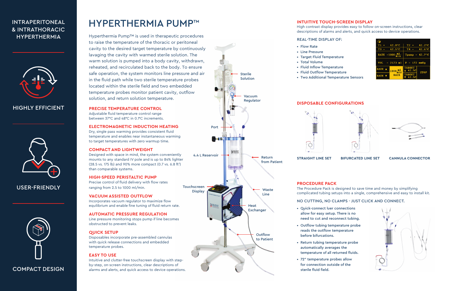

# **PRECISE TEMPERATURE CONTROL**

Adjustable fluid temperature control range between 37°C and 48°C in 0.1°C increments.

# **ELECTROMAGNETIC INDUCTION HEATING**

Dry, single pass warming provides consistent fluid temperature and enables near instantaneous warming to target temperatures with zero warmup time.

# **COMPACT AND LIGHTWEIGHT**

Designed with space in mind, the system conveniently mounts to any standard IV pole and is up to 84% lighter (28.5 vs. 175 lb) and 90% more compact (0.7 vs. 6.8 ft<sup>3</sup>) than comparable systems.

# **HIGH-SPEED PERISTALTIC PUMP**

Precise control of fluid delivery with flow rates ranging from 2.5 to 1000 ml/min.

# **VACUUM ASSISTED OUTFLOW**

Incorporates vacuum regulator to maximize flow equilibrium and enable fine tuning of fluid return rate.

# **AUTOMATIC PRESSURE REGULATION**

Line pressure monitoring stops pump if line becomes obstructed to prevent leaks.

# **QUICK SETUP**

Disposables incorporate pre-assembled cannulas with quick release connections and embedded temperature probes.

# **EASY TO USE**

Intuitive and clutter-free touchscreen display with stepby-step, on-screen instructions, clear descriptions of alarms and alerts, and quick access to device operations.

# HYPERTHERMIA PUMP™

Hyperthermia Pump™ is used in therapeutic procedures to raise the temperature of the thoracic or peritoneal cavity to the desired target temperature by continuously lavaging the cavity with warmed sterile solution. The warm solution is pumped into a body cavity, withdrawn, reheated, and recirculated back to the body. To ensure safe operation, the system monitors line pressure and air in the fluid path while two sterile temperature probes located within the sterile field and two embedded temperature probes monitor patient cavity, outflow solution, and return solution temperature.

# INTRAPERITONEAL & INTRATHORACIC HYPERTHERMIA



# HIGHLY EFFICIENT



# COMPACT DESIGN

# USER-FRIENDLY



# **DISPOSABLE CONFIGURATIONS**



**STRAIGHT LINE SET BIFURCATED LINE SET CANNULA CONNECTOR**

- Quick-connect luer connections allow for easy setup. There is no need to cut and reconnect tubing.
- Outflow tubing temperature probe reads the outflow temperature before bifurcations.
- Return tubing temperature probe automatically averages the temperature of all returned fluids.
- 72" temperature probes allow for connection outside of the sterile fluid field.

| $\bullet$                    |                                  |                             |                  |
|------------------------------|----------------------------------|-----------------------------|------------------|
| T1<br>$\equiv$               | $42.0^\circ$ C                   | $T2 =$                      | $42.2^{\circ}$ C |
| TЗ<br>$=$                    | $42.5^{\circ}$ C                 | $T4 =$                      | $42.6^{\circ}$ C |
| RATE = 1000 $\frac{m!}{m!n}$ |                                  | $T$ pump = 42.7 $\degree$ C |                  |
| $= 2173$ ml<br>VOL.          |                                  | $P = 172$ mmHg              |                  |
| RATE A                       | ml<br>1000<br>min<br><b>RATE</b> | <b>TARGET</b><br>42.5C      | <b>STOP</b>      |
| <b>RATE</b>                  |                                  | <b>TARGET</b><br>$-42.5C$   |                  |





# **PROCEDURE PACK**

The Procedure Pack is designed to save time and money by simplifying complicated tubing setups into a single, comprehensive and easy to install kit.



# NO CUTTING, NO CLAMPS - JUST CLICK AND CONNECT.

- Flow Rate
- Line Pressure
- Target Fluid Temperature
- Total Volume
- Fluid Inflow Temperature
- Fluid Outflow Temperature
- Two Additional Temperature Sensors

# **INTUITIVE TOUCH-SCREEN DISPLAY**

High contrast display provides easy to follow on-screen instructions, clear descriptions of alarms and alerts, and quick access to device operations.

## REAL-TIME DISPLAY OF: